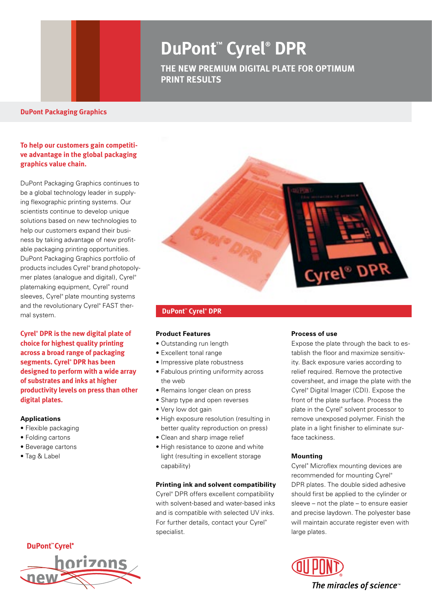# **DuPont™ Cyrel® DPR**

**THE New premium digital plate for optimum print results** 

#### **DuPont Packaging Graphics**

## **To help our customers gain competitive advantage in the global packaging graphics value chain.**

DuPont Packaging Graphics continues to be a global technology leader in supplying flexographic printing systems. Our scientists continue to develop unique solutions based on new technologies to help our customers expand their business by taking advantage of new profitable packaging printing opportunities. DuPont Packaging Graphics portfolio of products includes Cyrel® brand photopolymer plates (analogue and digital), Cyrel® platemaking equipment, Cyrel® round sleeves, Cyrel® plate mounting systems and the revolutionary Cyrel® FAST thermal system.

**Cyrel® DPR is the new digital plate of choice for highest quality printing across a broad range of packaging segments. Cyrel® DPR has been designed to perform with a wide array of substrates and inks at higher productivity levels on press than other digital plates.** 

#### **Applications**

- Flexible packaging
- Folding cartons
- Beverage cartons
- Tag & Label





#### **DuPont™ Cyrel® DPR**

#### **Product Features**

- Outstanding run length
- Excellent tonal range
- Impressive plate robustness
- Fabulous printing uniformity across the web
- Remains longer clean on press
- Sharp type and open reverses
- Very low dot gain
- High exposure resolution (resulting in better quality reproduction on press)
- Clean and sharp image relief
- High resistance to ozone and white light (resulting in excellent storage capability)

#### **Printing ink and solvent compatibility**

Cyrel® DPR offers excellent compatibility with solvent-based and water-based inks and is compatible with selected UV inks. For further details, contact your Cyrel® specialist.

#### **Process of use**

Expose the plate through the back to establish the floor and maximize sensitivity. Back exposure varies according to relief required. Remove the protective coversheet, and image the plate with the Cyrel® Digital Imager (CDI). Expose the front of the plate surface. Process the plate in the Cyrel® solvent processor to remove unexposed polymer. Finish the plate in a light finisher to eliminate surface tackiness.

### **Mounting**

Cyrel® Microflex mounting devices are recommended for mounting Cyrel® DPR plates. The double sided adhesive should first be applied to the cylinder or sleeve – not the plate – to ensure easier and precise laydown. The polyester base will maintain accurate register even with large plates.